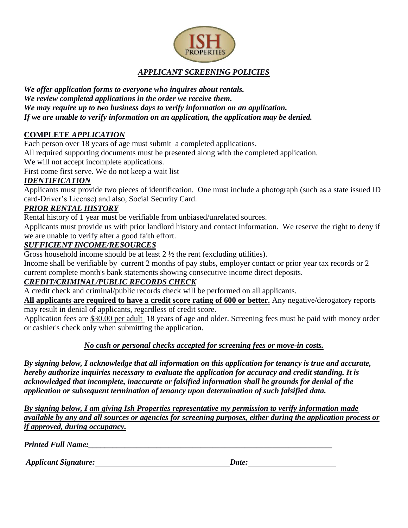

# *APPLICANT SCREENING POLICIES*

*We offer application forms to everyone who inquires about rentals. We review completed applications in the order we receive them. We may require up to two business days to verify information on an application. If we are unable to verify information on an application, the application may be denied.*

## **COMPLETE** *APPLICATION*

Each person over 18 years of age must submit a completed applications.

All required supporting documents must be presented along with the completed application.

We will not accept incomplete applications.

First come first serve. We do not keep a wait list

## *IDENTIFICATION*

Applicants must provide two pieces of identification. One must include a photograph (such as a state issued ID card-Driver's License) and also, Social Security Card.

## *PRIOR RENTAL HISTORY*

Rental history of 1 year must be verifiable from unbiased/unrelated sources.

Applicants must provide us with prior landlord history and contact information. We reserve the right to deny if we are unable to verify after a good faith effort.

## *SUFFICIENT INCOME/RESOURCES*

Gross household income should be at least 2 ½ the rent (excluding utilities).

Income shall be verifiable by current 2 months of pay stubs, employer contact or prior year tax records or 2 current complete month's bank statements showing consecutive income direct deposits.

# *CREDIT/CRIMINAL/PUBLIC RECORDS CHECK*

A credit check and criminal/public records check will be performed on all applicants.

**All applicants are required to have a credit score rating of 600 or better.** Any negative/derogatory reports may result in denial of applicants, regardless of credit score.

Application fees are \$30.00 per adult 18 years of age and older. Screening fees must be paid with money order or cashier's check only when submitting the application.

## *No cash or personal checks accepted for screening fees or move-in costs.*

*By signing below, I acknowledge that all information on this application for tenancy is true and accurate, hereby authorize inquiries necessary to evaluate the application for accuracy and credit standing. It is acknowledged that incomplete, inaccurate or falsified information shall be grounds for denial of the application or subsequent termination of tenancy upon determination of such falsified data.*

*By signing below, I am giving Ish Properties representative my permission to verify information made available by any and all sources or agencies for screening purposes, either during the application process or if approved, during occupancy.*

*Printed Full Name:* 

*Applicant Signature:* Date: Date: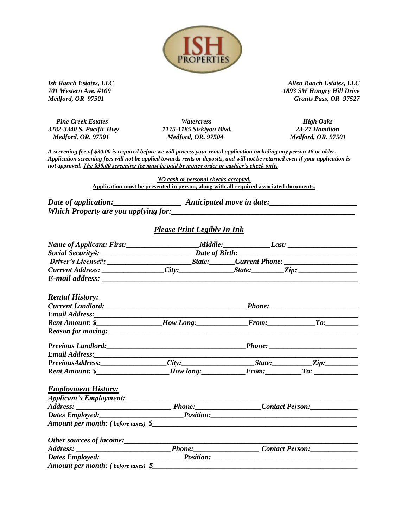

 *Pine Creek Estates Watercress High Oaks Medford, OR. 97501 Medford, OR. 97504 Medford, OR. 97501*

*3282-3340 S. Pacific Hwy 1175-1185 Siskiyou Blvd. 23-27 Hamilton*

*Ish Ranch Estates, LLC Allen Ranch Estates, LLC 701 Western Ave. #109 1893 SW Hungry Hill Drive Medford, OR 97501 Grants Pass, OR 97527*

*A screening fee of \$30.00 is required before we will process your rental application including any person 18 or older. Application screening fees will not be applied towards rents or deposits, and will not be returned even if your application is not approved. The \$30.00 screening fee must be paid by money order or cashier's check only.*

> *NO cash or personal checks accepted.* **Application must be presented in person, along with all required associated documents.**

*Date of application:\_\_\_\_\_\_\_\_\_\_\_\_\_\_\_\_\_ Anticipated move in date:\_\_\_\_\_\_\_\_\_\_\_\_\_\_\_\_\_\_\_\_\_\_ Which Property are you applying for:\_\_\_\_\_\_\_\_\_\_\_\_\_\_\_\_\_\_\_\_\_\_\_\_\_\_\_\_\_\_\_\_\_\_\_\_\_\_\_\_\_\_\_\_\_\_*

#### *Please Print Legibly In Ink*

| <b>Rental History:</b>                                                                                |  |  |  |  |
|-------------------------------------------------------------------------------------------------------|--|--|--|--|
|                                                                                                       |  |  |  |  |
|                                                                                                       |  |  |  |  |
|                                                                                                       |  |  |  |  |
|                                                                                                       |  |  |  |  |
|                                                                                                       |  |  |  |  |
|                                                                                                       |  |  |  |  |
| PreviousAddress: City: City: State: Zip: Zip:                                                         |  |  |  |  |
| Rent Amount: \$______________________How long:______________From:_____________To: ___________________ |  |  |  |  |
| <b>Employment History:</b>                                                                            |  |  |  |  |
|                                                                                                       |  |  |  |  |
|                                                                                                       |  |  |  |  |
|                                                                                                       |  |  |  |  |
|                                                                                                       |  |  |  |  |
|                                                                                                       |  |  |  |  |
|                                                                                                       |  |  |  |  |
|                                                                                                       |  |  |  |  |
| Amount per month: (before taxes) \$                                                                   |  |  |  |  |